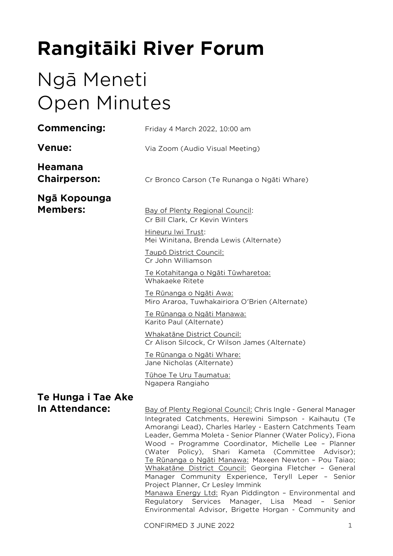# **Rangitāiki River Forum**

# Ngā Meneti Open Minutes

| <b>Commencing:</b>                    | Friday 4 March 2022, 10:00 am                                                                                                                                                                                                                                                                                                                                                                                                                                                                                                                                                                                                                                                                                                                                                             |
|---------------------------------------|-------------------------------------------------------------------------------------------------------------------------------------------------------------------------------------------------------------------------------------------------------------------------------------------------------------------------------------------------------------------------------------------------------------------------------------------------------------------------------------------------------------------------------------------------------------------------------------------------------------------------------------------------------------------------------------------------------------------------------------------------------------------------------------------|
| <b>Venue:</b>                         | Via Zoom (Audio Visual Meeting)                                                                                                                                                                                                                                                                                                                                                                                                                                                                                                                                                                                                                                                                                                                                                           |
| <b>Heamana</b><br><b>Chairperson:</b> | Cr Bronco Carson (Te Runanga o Ngāti Whare)                                                                                                                                                                                                                                                                                                                                                                                                                                                                                                                                                                                                                                                                                                                                               |
| Ngā Kopounga                          |                                                                                                                                                                                                                                                                                                                                                                                                                                                                                                                                                                                                                                                                                                                                                                                           |
| <b>Members:</b>                       | Bay of Plenty Regional Council:<br>Cr Bill Clark, Cr Kevin Winters                                                                                                                                                                                                                                                                                                                                                                                                                                                                                                                                                                                                                                                                                                                        |
|                                       | Hineuru Iwi Trust:<br>Mei Winitana, Brenda Lewis (Alternate)                                                                                                                                                                                                                                                                                                                                                                                                                                                                                                                                                                                                                                                                                                                              |
|                                       | Taupō District Council:<br>Cr John Williamson                                                                                                                                                                                                                                                                                                                                                                                                                                                                                                                                                                                                                                                                                                                                             |
|                                       | Te Kotahitanga o Ngāti Tūwharetoa:<br>Whakaeke Ritete                                                                                                                                                                                                                                                                                                                                                                                                                                                                                                                                                                                                                                                                                                                                     |
|                                       | <u>Te Rūnanga o Ngāti Awa:</u><br>Miro Araroa, Tuwhakairiora O'Brien (Alternate)                                                                                                                                                                                                                                                                                                                                                                                                                                                                                                                                                                                                                                                                                                          |
|                                       | <u>Te Rūnanga o Ngāti Manawa:</u><br>Karito Paul (Alternate)                                                                                                                                                                                                                                                                                                                                                                                                                                                                                                                                                                                                                                                                                                                              |
|                                       | Whakatāne District Council:<br>Cr Alison Silcock, Cr Wilson James (Alternate)                                                                                                                                                                                                                                                                                                                                                                                                                                                                                                                                                                                                                                                                                                             |
|                                       | <u>Te Rūnanga o Ngāti Whare:</u><br>Jane Nicholas (Alternate)                                                                                                                                                                                                                                                                                                                                                                                                                                                                                                                                                                                                                                                                                                                             |
|                                       | Tühoe Te Uru Taumatua:<br>Ngapera Rangiaho                                                                                                                                                                                                                                                                                                                                                                                                                                                                                                                                                                                                                                                                                                                                                |
| Te Hunga i Tae Ake                    |                                                                                                                                                                                                                                                                                                                                                                                                                                                                                                                                                                                                                                                                                                                                                                                           |
| In Attendance:                        | Bay of Plenty Regional Council: Chris Ingle - General Manager<br>Integrated Catchments, Herewini Simpson - Kaihautu (Te<br>Amorangi Lead), Charles Harley - Eastern Catchments Team<br>Leader, Gemma Moleta - Senior Planner (Water Policy), Fiona<br>Wood - Programme Coordinator, Michelle Lee - Planner<br>Policy), Shari Kameta (Committee Advisor);<br>(Water<br>Te Rūnanga o Ngāti Manawa: Maxeen Newton - Pou Taiao;<br>Whakatāne District Council: Georgina Fletcher - General<br>Manager Community Experience, Teryll Leper - Senior<br>Project Planner, Cr Lesley Immink<br>Manawa Energy Ltd: Ryan Piddington - Environmental and<br>Regulatory Services Manager, Lisa<br>Mead<br>Senior<br>$\overline{\phantom{a}}$<br>Environmental Advisor, Brigette Horgan - Community and |

CONFIRMED 3 JUNE 2022 1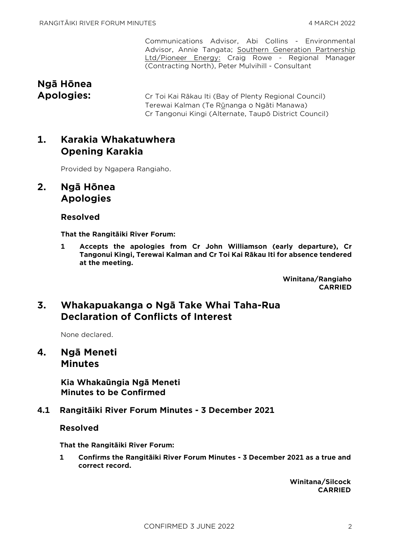Communications Advisor, Abi Collins - Environmental Advisor, Annie Tangata; Southern Generation Partnership Ltd/Pioneer Energy: Craig Rowe - Regional Manager (Contracting North), Peter Mulvihill - Consultant

# **Ngā Hōnea**

**Apologies:** Cr Toi Kai Rākau Iti (Bay of Plenty Regional Council) Terewai Kalman (Te Rūnanga o Ngāti Manawa) Cr Tangonui Kingi (Alternate, Taupō District Council)

# **1. Karakia Whakatuwhera Opening Karakia**

Provided by Ngapera Rangiaho.

## **2. Ngā Hōnea Apologies**

## **Resolved**

**That the Rangitāiki River Forum:**

**1 Accepts the apologies from Cr John Williamson (early departure), Cr Tangonui Kingi, Terewai Kalman and Cr Toi Kai Rākau Iti for absence tendered at the meeting.**

> **Winitana/Rangiaho CARRIED**

## **3. Whakapuakanga o Ngā Take Whai Taha-Rua Declaration of Conflicts of Interest**

None declared.

**4. Ngā Meneti Minutes**

> **Kia Whakaūngia Ngā Meneti Minutes to be Confirmed**

## **4.1 Rangitāiki River Forum Minutes - 3 December 2021**

## **Resolved**

**That the Rangitāiki River Forum:**

**1 Confirms the Rangitāiki River Forum Minutes - 3 December 2021 as a true and correct record.**

> **Winitana/Silcock CARRIED**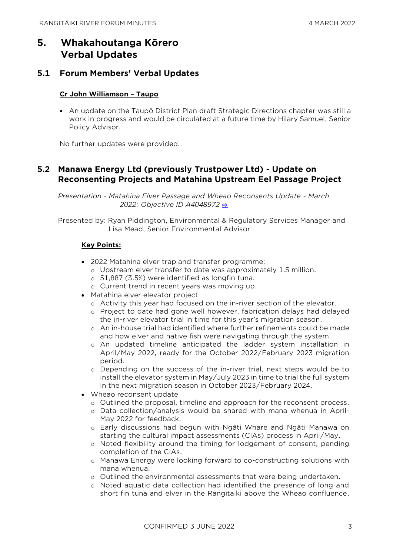# **5. Whakahoutanga Kōrero Verbal Updates**

## **5.1 Forum Members' Verbal Updates**

#### **Cr John Williamson – Taupo**

• An update on the Taupō District Plan draft Strategic Directions chapter was still a work in progress and would be circulated at a future time by Hilary Samuel, Senior Policy Advisor.

No further updates were provided.

## **5.2 Manawa Energy Ltd (previously Trustpower Ltd) - Update on Reconsenting Projects and Matahina Upstream Eel Passage Project**

*Presentation - Matahina Elver Passage and Wheao Reconsents Update - March 2022: Objective ID A4048972* [⇨](../../../RedirectToInvalidFileName.aspx?FileName=RRF_20220304_MAT_3480.PDF#PAGE=2)

Presented by: Ryan Piddington, Environmental & Regulatory Services Manager and Lisa Mead, Senior Environmental Advisor

#### **Key Points:**

- 2022 Matahina elver trap and transfer programme:
	- o Upstream elver transfer to date was approximately 1.5 million.
	- o 51,887 (3.5%) were identified as longfin tuna.
	- o Current trend in recent years was moving up.
- Matahina elver elevator project
	- o Activity this year had focused on the in-river section of the elevator.
	- o Project to date had gone well however, fabrication delays had delayed the in-river elevator trial in time for this year's migration season.
	- o An in-house trial had identified where further refinements could be made and how elver and native fish were navigating through the system.
	- o An updated timeline anticipated the ladder system installation in April/May 2022, ready for the October 2022/February 2023 migration period.
	- o Depending on the success of the in-river trial, next steps would be to install the elevator system in May/July 2023 in time to trial the full system in the next migration season in October 2023/February 2024.
- Wheao reconsent update
	- o Outlined the proposal, timeline and approach for the reconsent process.
	- o Data collection/analysis would be shared with mana whenua in April-May 2022 for feedback.
	- o Early discussions had begun with Ngāti Whare and Ngāti Manawa on starting the cultural impact assessments (CIAs) process in April/May.
	- o Noted flexibility around the timing for lodgement of consent, pending completion of the CIAs.
	- o Manawa Energy were looking forward to co-constructing solutions with mana whenua.
	- o Outlined the environmental assessments that were being undertaken.
	- o Noted aquatic data collection had identified the presence of long and short fin tuna and elver in the Rangitaiki above the Wheao confluence,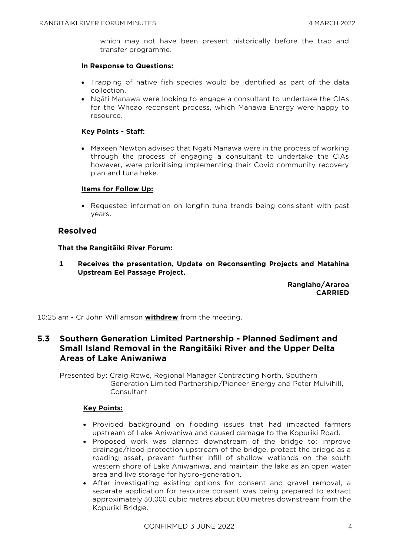which may not have been present historically before the trap and transfer programme.

#### **In Response to Questions:**

- Trapping of native fish species would be identified as part of the data collection.
- Ngāti Manawa were looking to engage a consultant to undertake the CIAs for the Wheao reconsent process, which Manawa Energy were happy to resource.

#### **Key Points - Staff:**

• Maxeen Newton advised that Ngāti Manawa were in the process of working through the process of engaging a consultant to undertake the CIAs however, were prioritising implementing their Covid community recovery plan and tuna heke.

#### **Items for Follow Up:**

• Requested information on longfin tuna trends being consistent with past years.

#### **Resolved**

#### **That the Rangitāiki River Forum:**

**1 Receives the presentation, Update on Reconsenting Projects and Matahina Upstream Eel Passage Project.**

> **Rangiaho/Araroa CARRIED**

10:25 am - Cr John Williamson **withdrew** from the meeting.

## **5.3 Southern Generation Limited Partnership - Planned Sediment and Small Island Removal in the Rangitāiki River and the Upper Delta Areas of Lake Aniwaniwa**

Presented by: Craig Rowe, Regional Manager Contracting North, Southern Generation Limited Partnership/Pioneer Energy and Peter Mulvihill, Consultant

#### **Key Points:**

- Provided background on flooding issues that had impacted farmers upstream of Lake Aniwaniwa and caused damage to the Kopuriki Road.
- Proposed work was planned downstream of the bridge to: improve drainage/flood protection upstream of the bridge, protect the bridge as a roading asset, prevent further infill of shallow wetlands on the south western shore of Lake Aniwaniwa, and maintain the lake as an open water area and live storage for hydro-generation.
- After investigating existing options for consent and gravel removal, a separate application for resource consent was being prepared to extract approximately 30,000 cubic metres about 600 metres downstream from the Kopuriki Bridge.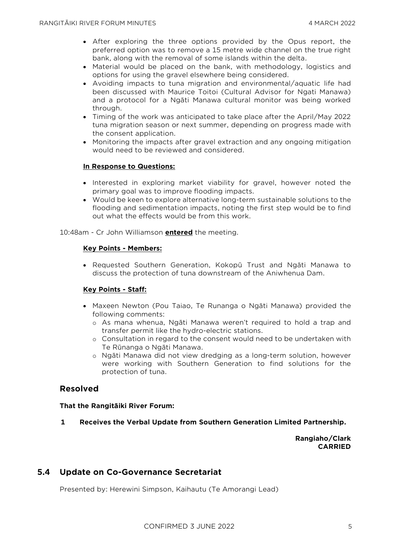- After exploring the three options provided by the Opus report, the preferred option was to remove a 15 metre wide channel on the true right bank, along with the removal of some islands within the delta.
- Material would be placed on the bank, with methodology, logistics and options for using the gravel elsewhere being considered.
- Avoiding impacts to tuna migration and environmental/aquatic life had been discussed with Maurice Toitoi (Cultural Advisor for Ngati Manawa) and a protocol for a Ngāti Manawa cultural monitor was being worked through.
- Timing of the work was anticipated to take place after the April/May 2022 tuna migration season or next summer, depending on progress made with the consent application.
- Monitoring the impacts after gravel extraction and any ongoing mitigation would need to be reviewed and considered.

#### **In Response to Questions:**

- Interested in exploring market viability for gravel, however noted the primary goal was to improve flooding impacts.
- Would be keen to explore alternative long-term sustainable solutions to the flooding and sedimentation impacts, noting the first step would be to find out what the effects would be from this work.

10:48am - Cr John Williamson **entered** the meeting.

#### **Key Points - Members:**

• Requested Southern Generation, Kokopū Trust and Ngāti Manawa to discuss the protection of tuna downstream of the Aniwhenua Dam.

#### **Key Points - Staff:**

- Maxeen Newton (Pou Taiao, Te Runanga o Ngāti Manawa) provided the following comments:
	- o As mana whenua, Ngāti Manawa weren't required to hold a trap and transfer permit like the hydro-electric stations.
	- o Consultation in regard to the consent would need to be undertaken with Te Rūnanga o Ngāti Manawa.
	- o Ngāti Manawa did not view dredging as a long-term solution, however were working with Southern Generation to find solutions for the protection of tuna.

## **Resolved**

#### **That the Rangitāiki River Forum:**

**1 Receives the Verbal Update from Southern Generation Limited Partnership.**

**Rangiaho/Clark CARRIED**

#### **5.4 Update on Co-Governance Secretariat**

Presented by: Herewini Simpson, Kaihautu (Te Amorangi Lead)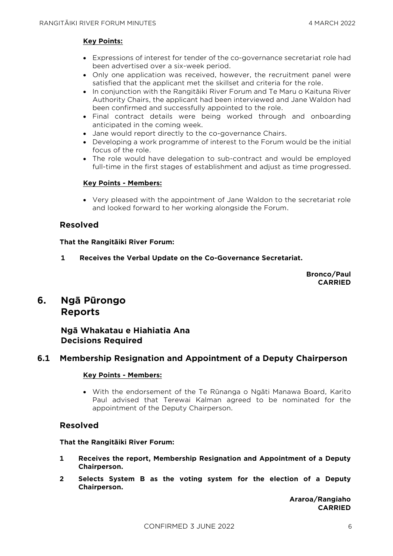#### **Key Points:**

- Expressions of interest for tender of the co-governance secretariat role had been advertised over a six-week period.
- Only one application was received, however, the recruitment panel were satisfied that the applicant met the skillset and criteria for the role.
- In conjunction with the Rangitāiki River Forum and Te Maru o Kaituna River Authority Chairs, the applicant had been interviewed and Jane Waldon had been confirmed and successfully appointed to the role.
- Final contract details were being worked through and onboarding anticipated in the coming week.
- Jane would report directly to the co-governance Chairs.
- Developing a work programme of interest to the Forum would be the initial focus of the role.
- The role would have delegation to sub-contract and would be employed full-time in the first stages of establishment and adjust as time progressed.

#### **Key Points - Members:**

• Very pleased with the appointment of Jane Waldon to the secretariat role and looked forward to her working alongside the Forum.

### **Resolved**

**That the Rangitāiki River Forum:**

**1 Receives the Verbal Update on the Co-Governance Secretariat.**

**Bronco/Paul CARRIED**

## **6. Ngā Pūrongo Reports**

## **Ngā Whakatau e Hiahiatia Ana Decisions Required**

## **6.1 Membership Resignation and Appointment of a Deputy Chairperson**

#### **Key Points - Members:**

• With the endorsement of the Te Rūnanga o Ngāti Manawa Board, Karito Paul advised that Terewai Kalman agreed to be nominated for the appointment of the Deputy Chairperson.

#### **Resolved**

#### **That the Rangitāiki River Forum:**

- **1 Receives the report, Membership Resignation and Appointment of a Deputy Chairperson.**
- **2 Selects System B as the voting system for the election of a Deputy Chairperson.**

**Araroa/Rangiaho CARRIED**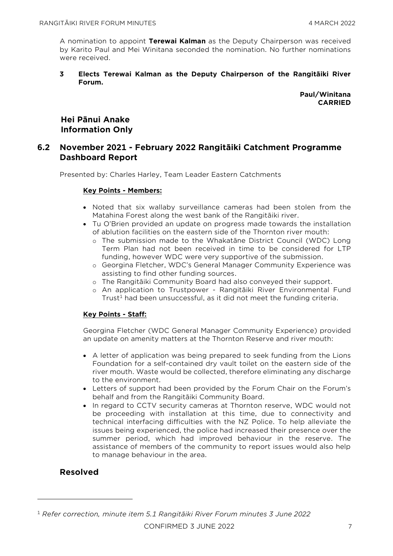A nomination to appoint **Terewai Kalman** as the Deputy Chairperson was received by Karito Paul and Mei Winitana seconded the nomination. No further nominations were received.

**3 Elects Terewai Kalman as the Deputy Chairperson of the Rangitāiki River Forum.**

> **Paul/Winitana CARRIED**

## **Hei Pānui Anake Information Only**

## **6.2 November 2021 - February 2022 Rangitāiki Catchment Programme Dashboard Report**

Presented by: Charles Harley, Team Leader Eastern Catchments

#### **Key Points - Members:**

- Noted that six wallaby surveillance cameras had been stolen from the Matahina Forest along the west bank of the Rangitāiki river.
- Tu O'Brien provided an update on progress made towards the installation of ablution facilities on the eastern side of the Thornton river mouth:
	- o The submission made to the Whakatāne District Council (WDC) Long Term Plan had not been received in time to be considered for LTP funding, however WDC were very supportive of the submission.
	- o Georgina Fletcher, WDC's General Manager Community Experience was assisting to find other funding sources.
	- o The Rangitāiki Community Board had also conveyed their support.
	- o An application to Trustpower Rangitāiki River Environmental Fund Trust<sup>1</sup> had been unsuccessful, as it did not meet the funding criteria.

#### **Key Points - Staff:**

Georgina Fletcher (WDC General Manager Community Experience) provided an update on amenity matters at the Thornton Reserve and river mouth:

- A letter of application was being prepared to seek funding from the Lions Foundation for a self-contained dry vault toilet on the eastern side of the river mouth. Waste would be collected, therefore eliminating any discharge to the environment.
- Letters of support had been provided by the Forum Chair on the Forum's behalf and from the Rangitāiki Community Board.
- In regard to CCTV security cameras at Thornton reserve, WDC would not be proceeding with installation at this time, due to connectivity and technical interfacing difficulties with the NZ Police. To help alleviate the issues being experienced, the police had increased their presence over the summer period, which had improved behaviour in the reserve. The assistance of members of the community to report issues would also help to manage behaviour in the area.

## **Resolved**

CONFIRMED 3 JUNE 2022 7 <sup>1</sup> *Refer correction, minute item 5.1 Rangitāiki River Forum minutes 3 June 2022*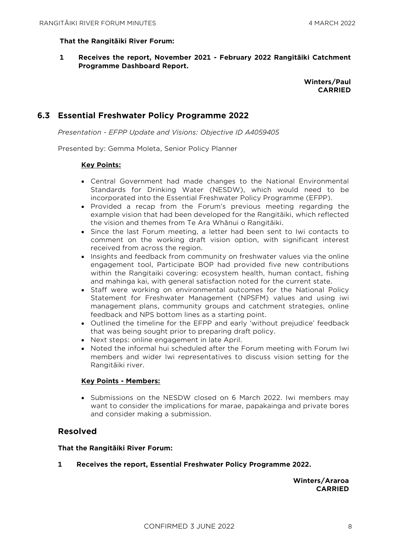#### **That the Rangitāiki River Forum:**

**1 Receives the report, November 2021 - February 2022 Rangitāiki Catchment Programme Dashboard Report.**

#### **Winters/Paul CARRIED**

## **6.3 Essential Freshwater Policy Programme 2022**

*Presentation - EFPP Update and Visions: Objective ID A4059405* 

Presented by: Gemma Moleta, Senior Policy Planner

#### **Key Points:**

- Central Government had made changes to the National Environmental Standards for Drinking Water (NESDW), which would need to be incorporated into the Essential Freshwater Policy Programme (EFPP).
- Provided a recap from the Forum's previous meeting regarding the example vision that had been developed for the Rangitāiki, which reflected the vision and themes from Te Ara Whānui o Rangitāiki.
- Since the last Forum meeting, a letter had been sent to Iwi contacts to comment on the working draft vision option, with significant interest received from across the region.
- Insights and feedback from community on freshwater values via the online engagement tool, Participate BOP had provided five new contributions within the Rangitaiki covering: ecosystem health, human contact, fishing and mahinga kai, with general satisfaction noted for the current state.
- Staff were working on environmental outcomes for the National Policy Statement for Freshwater Management (NPSFM) values and using iwi management plans, community groups and catchment strategies, online feedback and NPS bottom lines as a starting point.
- Outlined the timeline for the EFPP and early 'without prejudice' feedback that was being sought prior to preparing draft policy.
- Next steps: online engagement in late April.
- Noted the informal hui scheduled after the Forum meeting with Forum Iwi members and wider Iwi representatives to discuss vision setting for the Rangitāiki river.

#### **Key Points - Members:**

• Submissions on the NESDW closed on 6 March 2022. Iwi members may want to consider the implications for marae, papakainga and private bores and consider making a submission.

## **Resolved**

#### **That the Rangitāiki River Forum:**

**1 Receives the report, Essential Freshwater Policy Programme 2022.**

**Winters/Araroa CARRIED**